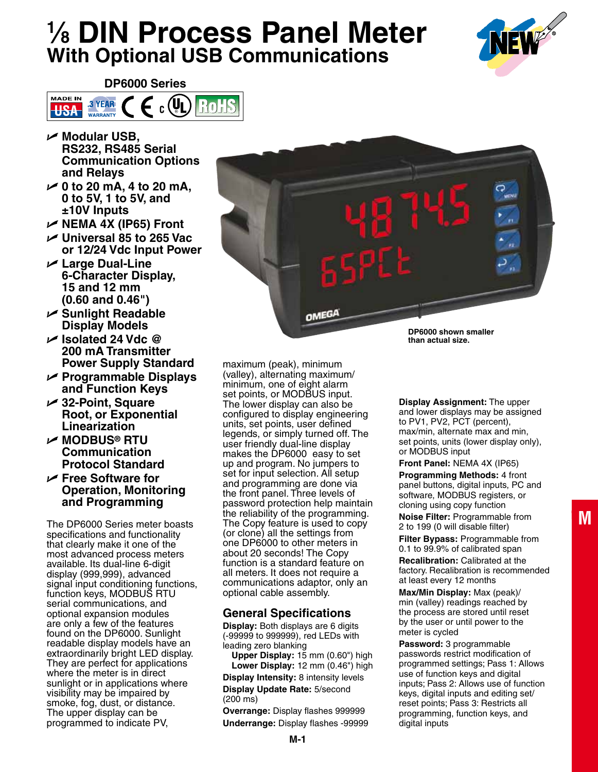# **1 ⁄8 DIN Process Panel Meter With Optional USB Communications**





- U **Modular USB, RS232, RS485 Serial Communication Options and Relays**
- U **0 to 20 mA, 4 to 20 mA, 0 to 5V, 1 to 5V, and ±10V Inputs**
- U **NEMA 4X (IP65) Front**
- U **Universal 85 to 265 Vac or 12/24 Vdc Input Power**
- U **Large Dual-Line 6-Character Display, 15 and 12 mm (0.60 and 0.46")**
- U **Sunlight Readable Display Models**
- U **Isolated 24 Vdc @ 200 mA Transmitter Power Supply Standard**
- U **Programmable Displays and Function Keys**
- U **32-Point, Square Root, or Exponential Linearization**
- U **Modbus® RTU Communication Protocol Standard**
- U **Free Software for Operation, Monitoring and Programming**

The DP6000 Series meter boasts specifications and functionality that clearly make it one of the most advanced process meters available. Its dual-line 6-digit display (999,999), advanced signal input conditioning functions, function keys, MODBUS RTU serial communications, and optional expansion modules are only a few of the features found on the DP6000. Sunlight readable display models have an extraordinarily bright LED display. They are perfect for applications where the meter is in direct sunlight or in applications where visibility may be impaired by smoke, fog, dust, or distance. The upper display can be programmed to indicate PV,

maximum (peak), minimum (valley), alternating maximum/ minimum, one of eight alarm set points, or MODBUS input. The lower display can also be configured to display engineering units, set points, user defined legends, or simply turned off. The user friendly dual-line display makes the DP6000 easy to set up and program. No jumpers to set for input selection. All setup and programming are done via the front panel. Three levels of password protection help maintain the reliability of the programming. The Copy feature is used to copy (or clone) all the settings from one DP6000 to other meters in about 20 seconds! The Copy function is a standard feature on all meters. It does not require a communications adaptor, only an optional cable assembly.

OMEGA

# **General Specifications**

**Display:** Both displays are 6 digits (-99999 to 999999), red LEDs with leading zero blanking

**Upper Display:** 15 mm (0.60") high **Lower Display:** 12 mm (0.46") high **Display Intensity:** 8 intensity levels

**Display Update Rate:** 5/second (200 ms)

**Overrange:** Display flashes 999999 **Underrange:** Display flashes -99999

**M-1**

**DP6000 shown smaller than actual size.**

**Display Assignment:** The upper and lower displays may be assigned to PV1, PV2, PCT (percent), max/min, alternate max and min, set points, units (lower display only), or MODBUS input

**Front Panel:** NEMA 4X (IP65) **Programming Methods:** 4 front panel buttons, digital inputs, PC and software, MODBUS registers, or cloning using copy function **Noise Filter:** Programmable from 2 to 199 (0 will disable filter)

**Filter Bypass:** Programmable from 0.1 to 99.9% of calibrated span **Recalibration:** Calibrated at the factory. Recalibration is recommended

at least every 12 months **Max/Min Display:** Max (peak)/ min (valley) readings reached by the process are stored until reset by the user or until power to the

meter is cycled **Password:** 3 programmable passwords restrict modification of programmed settings; Pass 1: Allows use of function keys and digital inputs; Pass 2: Allows use of function keys, digital inputs and editing set/ reset points; Pass 3: Restricts all programming, function keys, and digital inputs

**M**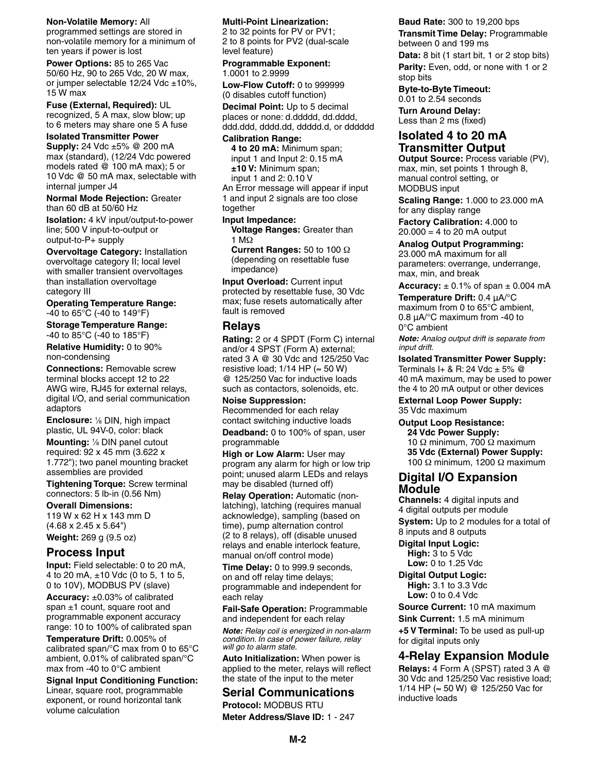#### **Non-Volatile Memory:** All

programmed settings are stored in non-volatile memory for a minimum of ten years if power is lost

**Power Options:** 85 to 265 Vac 50/60 Hz, 90 to 265 Vdc, 20 W max, or jumper selectable 12/24 Vdc ±10%, 15 W max

**Fuse (External, Required):** UL recognized, 5 A max, slow blow; up to 6 meters may share one 5 A fuse

**Isolated Transmitter Power Supply:** 24 Vdc ±5% @ 200 mA max (standard), (12/24 Vdc powered models rated @ 100 mA max); 5 or 10 Vdc @ 50 mA max, selectable with

internal jumper J4 **Normal Mode Rejection:** Greater than 60 dB at 50/60 Hz

**Isolation:** 4 kV input/output-to-power line; 500 V input-to-output or output-to-P+ supply

**Overvoltage Category:** Installation overvoltage category II; local level with smaller transient overvoltages than installation overvoltage category III

**Operating Temperature Range:** -40 to 65°C (-40 to 149°F)

**Storage Temperature Range:** -40 to 85°C (-40 to 185°F)

**Relative Humidity:** 0 to 90% non-condensing

**Connections:** Removable screw terminal blocks accept 12 to 22 AWG wire, RJ45 for external relays, digital I/O, and serial communication adaptors

**Enclosure:** 1/8 DIN, high impact plastic, UL 94V-0, color: black

**Mounting:** <sup>1</sup> ⁄8 DIN panel cutout required: 92 x 45 mm (3.622 x 1.772"); two panel mounting bracket assemblies are provided

**Tightening Torque:** Screw terminal connectors: 5 lb-in (0.56 Nm)

**Overall Dimensions:** 119 W x 62 H x 143 mm D (4.68 x 2.45 x 5.64") **Weight:** 269 g (9.5 oz)

# **Process Input**

**Input:** Field selectable: 0 to 20 mA, 4 to 20 mA, ±10 Vdc (0 to 5, 1 to 5, 0 to 10V), MODBUS PV (slave)

**Accuracy:** ±0.03% of calibrated span ±1 count, square root and programmable exponent accuracy range: 10 to 100% of calibrated span

**Temperature Drift:** 0.005% of calibrated span/°C max from 0 to 65°C ambient, 0.01% of calibrated span/°C max from -40 to 0°C ambient

**Signal Input Conditioning Function:** Linear, square root, programmable exponent, or round horizontal tank volume calculation

### **Multi-Point Linearization:**

2 to 32 points for PV or PV1; 2 to 8 points for PV2 (dual-scale level feature)

**Programmable Exponent:** 1.0001 to 2.9999

**Low-Flow Cutoff:** 0 to 999999 (0 disables cutoff function)

**Decimal Point:** Up to 5 decimal places or none: d.ddddd, dd.dddd, ddd.ddd, dddd.dd, ddddd.d, or dddddd

#### **Calibration Range:**

**4 to 20 mA:** Minimum span; input 1 and Input 2: 0.15 mA **±10 V:** Minimum span; input 1 and 2: 0.10 V

An Error message will appear if input 1 and input 2 signals are too close together

#### **Input Impedance:**

**Voltage Ranges:** Greater than 1 MΩ

**Current Ranges:** 50 to 100 Ω (depending on resettable fuse impedance)

**Input Overload:** Current input protected by resettable fuse, 30 Vdc max; fuse resets automatically after fault is removed

# **Relays**

**Rating:** 2 or 4 SPDT (Form C) internal and/or 4 SPST (Form A) external; rated 3 A @ 30 Vdc and 125/250 Vac resistive load;  $1/14$  HP ( $\approx$  50 W) @ 125/250 Vac for inductive loads such as contactors, solenoids, etc.

**Noise Suppression:** Recommended for each relay contact switching inductive loads

**Deadband:** 0 to 100% of span, user programmable

**High or Low Alarm:** User may program any alarm for high or low trip point; unused alarm LEDs and relays may be disabled (turned off)

**Relay Operation:** Automatic (nonlatching), latching (requires manual acknowledge), sampling (based on time), pump alternation control (2 to 8 relays), off (disable unused relays and enable interlock feature, manual on/off control mode)

**Time Delay:** 0 to 999.9 seconds, on and off relay time delays; programmable and independent for each relay

**Fail-Safe Operation:** Programmable and independent for each relay

*Note: Relay coil is energized in non-alarm condition. In case of power failure, relay will go to alarm state.*

**Auto Initialization:** When power is applied to the meter, relays will reflect the state of the input to the meter

# **Serial Communications**

**Protocol: MODBUS RTU Meter Address/Slave ID:** 1 - 247

## **Baud Rate:** 300 to 19,200 bps **Transmit Time Delay:** Programmable

between 0 and 199 ms

**Data:** 8 bit (1 start bit, 1 or 2 stop bits) **Parity:** Even, odd, or none with 1 or 2 stop bits

**Byte-to-Byte Timeout:**

0.01 to 2.54 seconds **Turn Around Delay:** Less than 2 ms (fixed)

# **Isolated 4 to 20 mA Transmitter Output**

**Output Source:** Process variable (PV), max, min, set points 1 through 8, manual control setting, or MODBUS input

**Scaling Range:** 1.000 to 23.000 mA for any display range

**Factory Calibration:** 4.000 to  $20.000 = 4$  to 20 mA output

**Analog Output Programming:** 23.000 mA maximum for all parameters: overrange, underrange, max, min, and break

**Accuracy:**  $\pm$  0.1% of span  $\pm$  0.004 mA

**Temperature Drift:** 0.4 μA/°C maximum from 0 to 65°C ambient, 0.8 μA/°C maximum from -40 to 0°C ambient

*Note: Analog output drift is separate from input drift.*

**Isolated Transmitter Power Supply:** Terminals I+ & R: 24 Vdc  $\pm$  5%  $\omega$ 40 mA maximum, may be used to power the 4 to 20 mA output or other devices

**External Loop Power Supply:** 35 Vdc maximum

## **Output Loop Resistance:**

**24 Vdc Power Supply:** 10 Ω minimum, 700 Ω maximum **35 Vdc (External) Power Supply:** 100 Ω minimum, 1200 Ω maximum

## **Digital I/O Expansion Module**

**Channels:** 4 digital inputs and 4 digital outputs per module **System:** Up to 2 modules for a total of 8 inputs and 8 outputs

**Digital Input Logic:**

**High:** 3 to 5 Vdc **Low:** 0 to 1.25 Vdc

**Digital Output Logic: High:** 3.1 to 3.3 Vdc **Low:** 0 to 0.4 Vdc

**Source Current:** 10 mA maximum

**Sink Current:** 1.5 mA minimum

**+5 V Terminal:** To be used as pull-up for digital inputs only

# **4-Relay Expansion Module**

**Relays:** 4 Form A (SPST) rated 3 A @ 30 Vdc and 125/250 Vac resistive load; 1/14 HP (≈ 50 W) @ 125/250 Vac for inductive loads